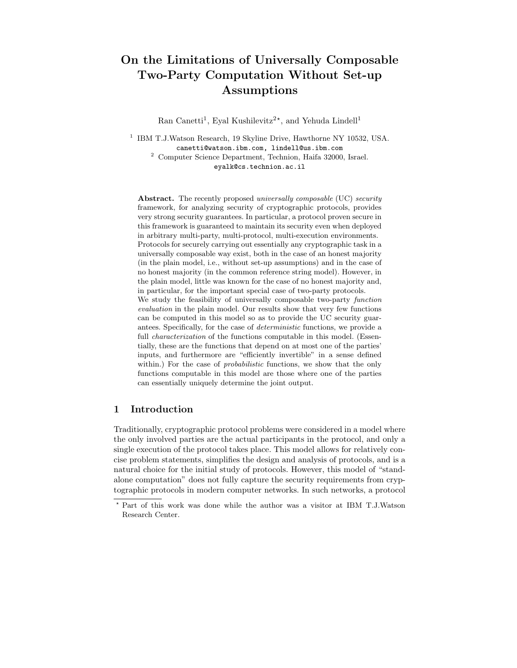# On the Limitations of Universally Composable Two-Party Computation Without Set-up Assumptions

Ran Canetti<sup>1</sup>, Eyal Kushilevitz<sup>2\*</sup>, and Yehuda Lindell<sup>1</sup>

<sup>1</sup> IBM T.J.Watson Research, 19 Skyline Drive, Hawthorne NY 10532, USA. canetti@watson.ibm.com, lindell@us.ibm.com <sup>2</sup> Computer Science Department, Technion, Haifa 32000, Israel. eyalk@cs.technion.ac.il

Abstract. The recently proposed universally composable (UC) security framework, for analyzing security of cryptographic protocols, provides very strong security guarantees. In particular, a protocol proven secure in this framework is guaranteed to maintain its security even when deployed in arbitrary multi-party, multi-protocol, multi-execution environments. Protocols for securely carrying out essentially any cryptographic task in a universally composable way exist, both in the case of an honest majority (in the plain model, i.e., without set-up assumptions) and in the case of no honest majority (in the common reference string model). However, in the plain model, little was known for the case of no honest majority and, in particular, for the important special case of two-party protocols. We study the feasibility of universally composable two-party *function* evaluation in the plain model. Our results show that very few functions can be computed in this model so as to provide the UC security guarantees. Specifically, for the case of deterministic functions, we provide a full *characterization* of the functions computable in this model. (Essentially, these are the functions that depend on at most one of the parties' inputs, and furthermore are "efficiently invertible" in a sense defined within.) For the case of *probabilistic* functions, we show that the only functions computable in this model are those where one of the parties can essentially uniquely determine the joint output.

## 1 Introduction

Traditionally, cryptographic protocol problems were considered in a model where the only involved parties are the actual participants in the protocol, and only a single execution of the protocol takes place. This model allows for relatively concise problem statements, simplifies the design and analysis of protocols, and is a natural choice for the initial study of protocols. However, this model of "standalone computation" does not fully capture the security requirements from cryptographic protocols in modern computer networks. In such networks, a protocol

<sup>?</sup> Part of this work was done while the author was a visitor at IBM T.J.Watson Research Center.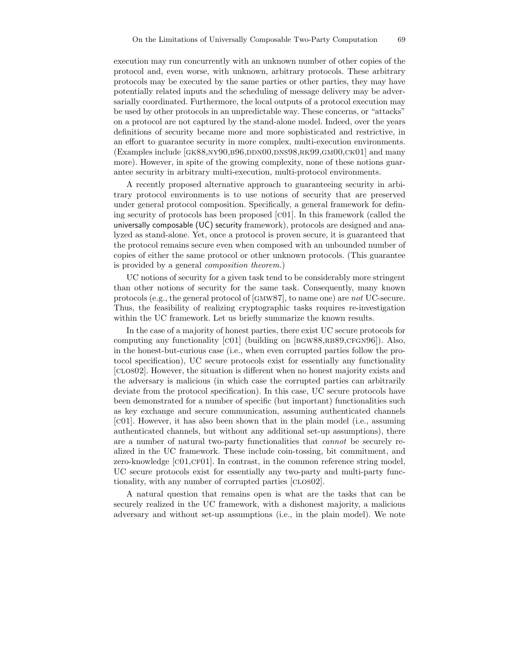execution may run concurrently with an unknown number of other copies of the protocol and, even worse, with unknown, arbitrary protocols. These arbitrary protocols may be executed by the same parties or other parties, they may have potentially related inputs and the scheduling of message delivery may be adversarially coordinated. Furthermore, the local outputs of a protocol execution may be used by other protocols in an unpredictable way. These concerns, or "attacks" on a protocol are not captured by the stand-alone model. Indeed, over the years definitions of security became more and more sophisticated and restrictive, in an effort to guarantee security in more complex, multi-execution environments. (Examples include  $[GK88,NY90,B96,DDN00,DNS98,RK99,GM00,CK01]$  and many more). However, in spite of the growing complexity, none of these notions guarantee security in arbitrary multi-execution, multi-protocol environments.

A recently proposed alternative approach to guaranteeing security in arbitrary protocol environments is to use notions of security that are preserved under general protocol composition. Specifically, a general framework for defining security of protocols has been proposed [c01]. In this framework (called the universally composable (UC) security framework), protocols are designed and analyzed as stand-alone. Yet, once a protocol is proven secure, it is guaranteed that the protocol remains secure even when composed with an unbounded number of copies of either the same protocol or other unknown protocols. (This guarantee is provided by a general composition theorem.)

UC notions of security for a given task tend to be considerably more stringent than other notions of security for the same task. Consequently, many known protocols (e.g., the general protocol of [gmw87], to name one) are not UC-secure. Thus, the feasibility of realizing cryptographic tasks requires re-investigation within the UC framework. Let us briefly summarize the known results.

In the case of a majority of honest parties, there exist UC secure protocols for computing any functionality  $[CO1]$  (building on  $[BGW88,RB89,CFGN96])$ . Also, in the honest-but-curious case (i.e., when even corrupted parties follow the protocol specification), UC secure protocols exist for essentially any functionality [clos02]. However, the situation is different when no honest majority exists and the adversary is malicious (in which case the corrupted parties can arbitrarily deviate from the protocol specification). In this case, UC secure protocols have been demonstrated for a number of specific (but important) functionalities such as key exchange and secure communication, assuming authenticated channels [c01]. However, it has also been shown that in the plain model (i.e., assuming authenticated channels, but without any additional set-up assumptions), there are a number of natural two-party functionalities that cannot be securely realized in the UC framework. These include coin-tossing, bit commitment, and zero-knowledge  $[CO1, CF01]$ . In contrast, in the common reference string model, UC secure protocols exist for essentially any two-party and multi-party functionality, with any number of corrupted parties [CLOS02].

A natural question that remains open is what are the tasks that can be securely realized in the UC framework, with a dishonest majority, a malicious adversary and without set-up assumptions (i.e., in the plain model). We note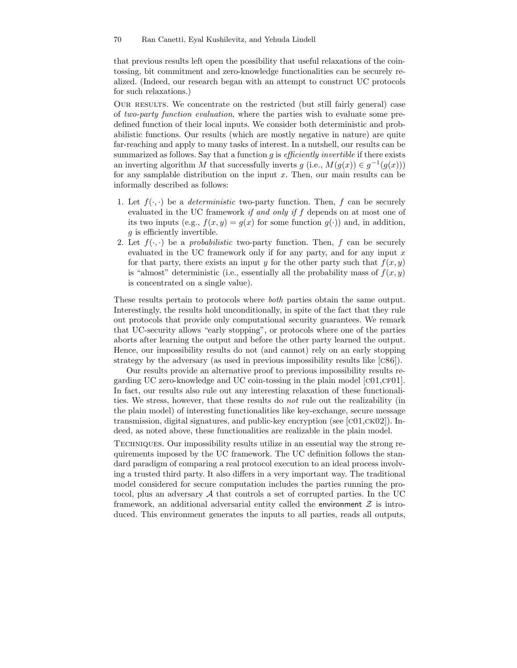that previous results left open the possibility that useful relaxations of the cointossing, bit commitment and zero-knowledge functionalities can be securely realized. (Indeed, our research began with an attempt to construct UC protocols for such relaxations.)

Our results. We concentrate on the restricted (but still fairly general) case of two-party function evaluation, where the parties wish to evaluate some predefined function of their local inputs. We consider both deterministic and probabilistic functions. Our results (which are mostly negative in nature) are quite far-reaching and apply to many tasks of interest. In a nutshell, our results can be summarized as follows. Say that a function  $q$  is *efficiently invertible* if there exists an inverting algorithm M that successfully inverts g (i.e.,  $M(g(x)) \in g^{-1}(g(x))$ ) for any samplable distribution on the input  $x$ . Then, our main results can be informally described as follows:

- 1. Let  $f(\cdot, \cdot)$  be a *deterministic* two-party function. Then, f can be securely evaluated in the UC framework if and only if f depends on at most one of its two inputs (e.g.,  $f(x, y) = g(x)$  for some function  $g(\cdot)$ ) and, in addition, g is efficiently invertible.
- 2. Let  $f(\cdot, \cdot)$  be a probabilistic two-party function. Then, f can be securely evaluated in the UC framework only if for any party, and for any input  $x$ for that party, there exists an input y for the other party such that  $f(x, y)$ is "almost" deterministic (i.e., essentially all the probability mass of  $f(x, y)$ ) is concentrated on a single value).

These results pertain to protocols where both parties obtain the same output. Interestingly, the results hold unconditionally, in spite of the fact that they rule out protocols that provide only computational security guarantees. We remark that UC-security allows "early stopping", or protocols where one of the parties aborts after learning the output and before the other party learned the output. Hence, our impossibility results do not (and cannot) rely on an early stopping strategy by the adversary (as used in previous impossibility results like [c86]).

Our results provide an alternative proof to previous impossibility results regarding UC zero-knowledge and UC coin-tossing in the plain model  $[C01,CF01]$ . In fact, our results also rule out any interesting relaxation of these functionalities. We stress, however, that these results do not rule out the realizability (in the plain model) of interesting functionalities like key-exchange, secure message transmission, digital signatures, and public-key encryption (see  $\lbrack \text{c}01,\text{c} \text{K}02 \rbrack$ ). Indeed, as noted above, these functionalities are realizable in the plain model.

Techniques. Our impossibility results utilize in an essential way the strong requirements imposed by the UC framework. The UC definition follows the standard paradigm of comparing a real protocol execution to an ideal process involving a trusted third party. It also differs in a very important way. The traditional model considered for secure computation includes the parties running the protocol, plus an adversary A that controls a set of corrupted parties. In the UC framework, an additional adversarial entity called the environment  $\mathcal Z$  is introduced. This environment generates the inputs to all parties, reads all outputs,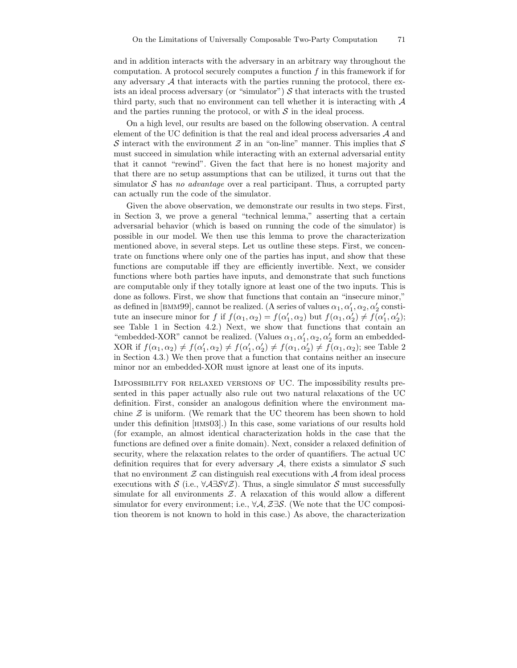and in addition interacts with the adversary in an arbitrary way throughout the computation. A protocol securely computes a function  $f$  in this framework if for any adversary  $\mathcal A$  that interacts with the parties running the protocol, there exists an ideal process adversary (or "simulator")  $\mathcal S$  that interacts with the trusted third party, such that no environment can tell whether it is interacting with  $A$ and the parties running the protocol, or with  $S$  in the ideal process.

On a high level, our results are based on the following observation. A central element of the UC definition is that the real and ideal process adversaries  $A$  and S interact with the environment  $\mathcal Z$  in an "on-line" manner. This implies that  $\mathcal S$ must succeed in simulation while interacting with an external adversarial entity that it cannot "rewind". Given the fact that here is no honest majority and that there are no setup assumptions that can be utilized, it turns out that the simulator  $S$  has no advantage over a real participant. Thus, a corrupted party can actually run the code of the simulator.

Given the above observation, we demonstrate our results in two steps. First, in Section 3, we prove a general "technical lemma," asserting that a certain adversarial behavior (which is based on running the code of the simulator) is possible in our model. We then use this lemma to prove the characterization mentioned above, in several steps. Let us outline these steps. First, we concentrate on functions where only one of the parties has input, and show that these functions are computable iff they are efficiently invertible. Next, we consider functions where both parties have inputs, and demonstrate that such functions are computable only if they totally ignore at least one of the two inputs. This is done as follows. First, we show that functions that contain an "insecure minor," as defined in [BMM99], cannot be realized. (A series of values  $\alpha_1, \alpha'_1, \alpha_2, \alpha'_2$  constitute an insecure minor for f if  $f(\alpha_1, \alpha_2) = f(\alpha'_1, \alpha_2)$  but  $f(\alpha_1, \alpha'_2) \neq f(\alpha'_1, \alpha'_2)$ ; see Table 1 in Section 4.2.) Next, we show that functions that contain an "embedded-XOR" cannot be realized. (Values  $\alpha_1, \alpha'_1, \alpha_2, \alpha'_2$  form an embedded-XOR if  $f(\alpha_1, \alpha_2) \neq f(\alpha'_1, \alpha_2) \neq f(\alpha'_1, \alpha'_2) \neq f(\alpha_1, \alpha'_2) \neq f(\alpha_1, \alpha_2)$ ; see Table 2 in Section 4.3.) We then prove that a function that contains neither an insecure minor nor an embedded-XOR must ignore at least one of its inputs.

Impossibility for relaxed versions of UC. The impossibility results presented in this paper actually also rule out two natural relaxations of the UC definition. First, consider an analogous definition where the environment machine  $\mathcal Z$  is uniform. (We remark that the UC theorem has been shown to hold under this definition [hms03].) In this case, some variations of our results hold (for example, an almost identical characterization holds in the case that the functions are defined over a finite domain). Next, consider a relaxed definition of security, where the relaxation relates to the order of quantifiers. The actual UC definition requires that for every adversary  $A$ , there exists a simulator  $S$  such that no environment  $\mathcal Z$  can distinguish real executions with  $\mathcal A$  from ideal process executions with S (i.e.,  $\forall \mathcal{A} \exists \mathcal{S} \forall \mathcal{Z}$ ). Thus, a single simulator S must successfully simulate for all environments  $Z$ . A relaxation of this would allow a different simulator for every environment; i.e.,  $\forall A, \mathcal{Z} \exists \mathcal{S}$ . (We note that the UC composition theorem is not known to hold in this case.) As above, the characterization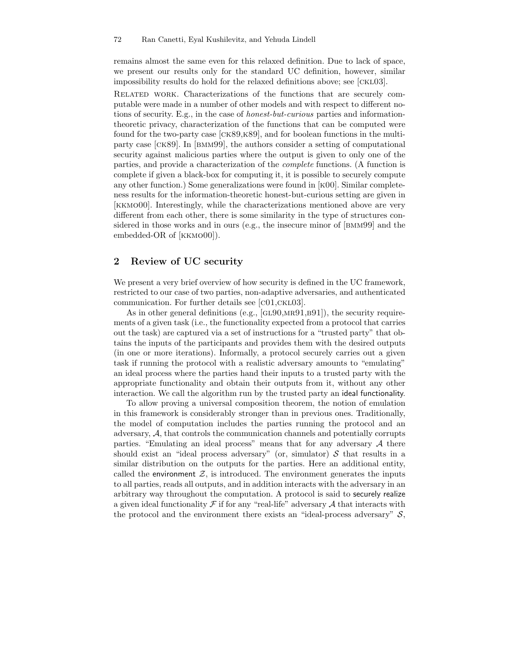remains almost the same even for this relaxed definition. Due to lack of space, we present our results only for the standard UC definition, however, similar impossibility results do hold for the relaxed definitions above; see [ckl03].

RELATED WORK. Characterizations of the functions that are securely computable were made in a number of other models and with respect to different notions of security. E.g., in the case of honest-but-curious parties and informationtheoretic privacy, characterization of the functions that can be computed were found for the two-party case [ck89,k89], and for boolean functions in the multiparty case [ck89]. In [bmm99], the authors consider a setting of computational security against malicious parties where the output is given to only one of the parties, and provide a characterization of the complete functions. (A function is complete if given a black-box for computing it, it is possible to securely compute any other function.) Some generalizations were found in [k00]. Similar completeness results for the information-theoretic honest-but-curious setting are given in [kkmo00]. Interestingly, while the characterizations mentioned above are very different from each other, there is some similarity in the type of structures considered in those works and in ours (e.g., the insecure minor of [bmm99] and the embedded-OR of [kkmo00]).

## 2 Review of UC security

We present a very brief overview of how security is defined in the UC framework, restricted to our case of two parties, non-adaptive adversaries, and authenticated communication. For further details see [c01,ckl03].

As in other general definitions (e.g., [GL90,MR91,B91]), the security requirements of a given task (i.e., the functionality expected from a protocol that carries out the task) are captured via a set of instructions for a "trusted party" that obtains the inputs of the participants and provides them with the desired outputs (in one or more iterations). Informally, a protocol securely carries out a given task if running the protocol with a realistic adversary amounts to "emulating" an ideal process where the parties hand their inputs to a trusted party with the appropriate functionality and obtain their outputs from it, without any other interaction. We call the algorithm run by the trusted party an ideal functionality.

To allow proving a universal composition theorem, the notion of emulation in this framework is considerably stronger than in previous ones. Traditionally, the model of computation includes the parties running the protocol and an adversary, A, that controls the communication channels and potentially corrupts parties. "Emulating an ideal process" means that for any adversary  $A$  there should exist an "ideal process adversary" (or, simulator)  $S$  that results in a similar distribution on the outputs for the parties. Here an additional entity, called the environment  $\mathcal{Z}$ , is introduced. The environment generates the inputs to all parties, reads all outputs, and in addition interacts with the adversary in an arbitrary way throughout the computation. A protocol is said to securely realize a given ideal functionality  $\mathcal F$  if for any "real-life" adversary  $\mathcal A$  that interacts with the protocol and the environment there exists an "ideal-process adversary"  $S$ ,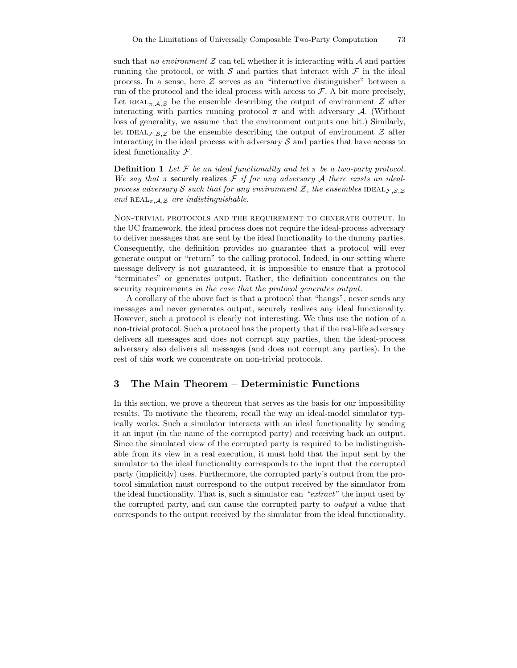such that no environment  $\mathcal Z$  can tell whether it is interacting with  $\mathcal A$  and parties running the protocol, or with S and parties that interact with  $\mathcal F$  in the ideal process. In a sense, here  $Z$  serves as an "interactive distinguisher" between a run of the protocol and the ideal process with access to  $\mathcal{F}$ . A bit more precisely, Let REAL<sub>π,A,Z</sub> be the ensemble describing the output of environment Z after interacting with parties running protocol  $\pi$  and with adversary A. (Without loss of generality, we assume that the environment outputs one bit.) Similarly, let IDEAL $F, S, Z$  be the ensemble describing the output of environment  $Z$  after interacting in the ideal process with adversary  $S$  and parties that have access to ideal functionality  $\mathcal{F}.$ 

**Definition 1** Let F be an ideal functionality and let  $\pi$  be a two-party protocol. We say that  $\pi$  securely realizes  $\mathcal F$  if for any adversary  $\mathcal A$  there exists an idealprocess adversary S such that for any environment Z, the ensembles  $\text{IDEAL}_{\mathcal{F},\mathcal{S},\mathcal{Z}}$ and  $REAL_{\pi,\mathcal{A},\mathcal{Z}}$  are indistinguishable.

Non-trivial protocols and the requirement to generate output. In the UC framework, the ideal process does not require the ideal-process adversary to deliver messages that are sent by the ideal functionality to the dummy parties. Consequently, the definition provides no guarantee that a protocol will ever generate output or "return" to the calling protocol. Indeed, in our setting where message delivery is not guaranteed, it is impossible to ensure that a protocol "terminates" or generates output. Rather, the definition concentrates on the security requirements in the case that the protocol generates output.

A corollary of the above fact is that a protocol that "hangs", never sends any messages and never generates output, securely realizes any ideal functionality. However, such a protocol is clearly not interesting. We thus use the notion of a non-trivial protocol. Such a protocol has the property that if the real-life adversary delivers all messages and does not corrupt any parties, then the ideal-process adversary also delivers all messages (and does not corrupt any parties). In the rest of this work we concentrate on non-trivial protocols.

## 3 The Main Theorem – Deterministic Functions

In this section, we prove a theorem that serves as the basis for our impossibility results. To motivate the theorem, recall the way an ideal-model simulator typically works. Such a simulator interacts with an ideal functionality by sending it an input (in the name of the corrupted party) and receiving back an output. Since the simulated view of the corrupted party is required to be indistinguishable from its view in a real execution, it must hold that the input sent by the simulator to the ideal functionality corresponds to the input that the corrupted party (implicitly) uses. Furthermore, the corrupted party's output from the protocol simulation must correspond to the output received by the simulator from the ideal functionality. That is, such a simulator can "extract" the input used by the corrupted party, and can cause the corrupted party to output a value that corresponds to the output received by the simulator from the ideal functionality.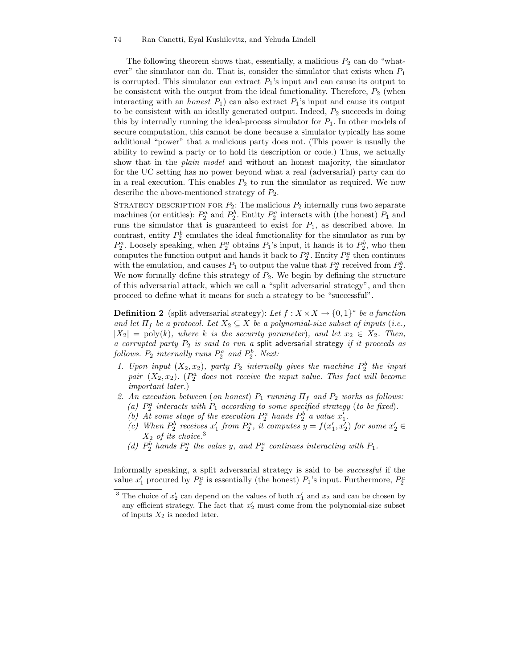#### 74 Ran Canetti, Eyal Kushilevitz, and Yehuda Lindell

The following theorem shows that, essentially, a malicious  $P_2$  can do "whatever" the simulator can do. That is, consider the simulator that exists when  $P_1$ is corrupted. This simulator can extract  $P_1$ 's input and can cause its output to be consistent with the output from the ideal functionality. Therefore,  $P_2$  (when interacting with an *honest*  $P_1$ ) can also extract  $P_1$ 's input and cause its output to be consistent with an ideally generated output. Indeed,  $P_2$  succeeds in doing this by internally running the ideal-process simulator for  $P_1$ . In other models of secure computation, this cannot be done because a simulator typically has some additional "power" that a malicious party does not. (This power is usually the ability to rewind a party or to hold its description or code.) Thus, we actually show that in the *plain model* and without an honest majority, the simulator for the UC setting has no power beyond what a real (adversarial) party can do in a real execution. This enables  $P_2$  to run the simulator as required. We now describe the above-mentioned strategy of  $P_2$ .

STRATEGY DESCRIPTION FOR  $P_2$ : The malicious  $P_2$  internally runs two separate machines (or entities):  $P_2^a$  and  $P_2^b$ . Entity  $P_2^a$  interacts with (the honest)  $P_1$  and runs the simulator that is guaranteed to exist for  $P_1$ , as described above. In contrast, entity  $P_2^b$  emulates the ideal functionality for the simulator as run by  $P_2^a$ . Loosely speaking, when  $P_2^a$  obtains  $P_1$ 's input, it hands it to  $P_2^b$ , who then computes the function output and hands it back to  $P_2^a$ . Entity  $P_2^a$  then continues with the emulation, and causes  $P_1$  to output the value that  $P_2^a$  received from  $P_2^b$ . We now formally define this strategy of  $P_2$ . We begin by defining the structure of this adversarial attack, which we call a "split adversarial strategy", and then proceed to define what it means for such a strategy to be "successful".

**Definition 2** (split adversarial strategy): Let  $f : X \times X \rightarrow \{0,1\}^*$  be a function and let  $\Pi_f$  be a protocol. Let  $X_2 \subseteq X$  be a polynomial-size subset of inputs (i.e.,  $|X_2| = \text{poly}(k)$ , where k is the security parameter), and let  $x_2 \in X_2$ . Then, a corrupted party  $P_2$  is said to run a split adversarial strategy if it proceeds as follows.  $P_2$  internally runs  $P_2^a$  and  $P_2^b$ . Next:

- 1. Upon input  $(X_2, x_2)$ , party  $P_2$  internally gives the machine  $P_2^b$  the input pair  $(X_2, x_2)$ .  $(P_2^a$  does not receive the input value. This fact will become important later.)
- 2. An execution between (an honest)  $P_1$  running  $\Pi_f$  and  $P_2$  works as follows:
	- (a)  $P_2^a$  interacts with  $P_1$  according to some specified strategy (to be fixed).
	- (b) At some stage of the execution  $P_2^a$  hands  $P_2^b$  a value  $x_1'$ .
	- (c) When  $P_2^b$  receives  $x'_1$  from  $P_2^a$ , it computes  $y = f(x'_1, x'_2)$  for some  $x'_2 \in$  $\ensuremath{\mathcal{X}}\xspace_2$  of its choice.<br> $^3$
	- (d)  $P_2^b$  hands  $P_2^a$  the value y, and  $P_2^a$  continues interacting with  $P_1$ .

Informally speaking, a split adversarial strategy is said to be *successful* if the value  $x'_1$  procured by  $P_2^a$  is essentially (the honest)  $P_1$ 's input. Furthermore,  $P_2^a$ 

<sup>&</sup>lt;sup>3</sup> The choice of  $x'_2$  can depend on the values of both  $x'_1$  and  $x_2$  and can be chosen by any efficient strategy. The fact that  $x_2'$  must come from the polynomial-size subset of inputs  $X_2$  is needed later.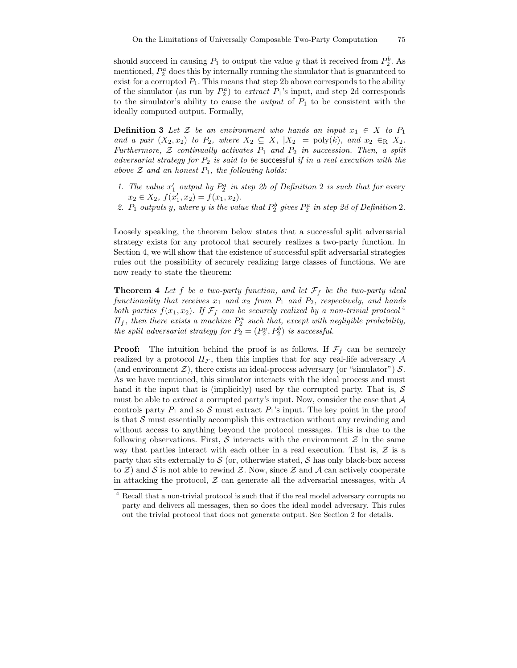should succeed in causing  $P_1$  to output the value y that it received from  $P_2^b$ . As mentioned,  $P_2^a$  does this by internally running the simulator that is guaranteed to exist for a corrupted  $P_1$ . This means that step 2b above corresponds to the ability of the simulator (as run by  $P_2^a$ ) to *extract*  $P_1$ 's input, and step 2d corresponds to the simulator's ability to cause the *output* of  $P_1$  to be consistent with the ideally computed output. Formally,

**Definition 3** Let Z be an environment who hands an input  $x_1 \in X$  to  $P_1$ and a pair  $(X_2, x_2)$  to  $P_2$ , where  $X_2 \subseteq X$ ,  $|X_2| = \text{poly}(k)$ , and  $x_2 \in_R X_2$ . Furthermore,  $Z$  continually activates  $P_1$  and  $P_2$  in succession. Then, a split adversarial strategy for  $P_2$  is said to be successful if in a real execution with the above  $\mathcal Z$  and an honest  $P_1$ , the following holds:

- 1. The value  $x'_1$  output by  $P_2^a$  in step 2b of Definition 2 is such that for every  $x_2 \in X_2, f(x_1', x_2) = f(x_1, x_2).$
- 2.  $P_1$  outputs y, where y is the value that  $P_2^b$  gives  $P_2^a$  in step 2d of Definition 2.

Loosely speaking, the theorem below states that a successful split adversarial strategy exists for any protocol that securely realizes a two-party function. In Section 4, we will show that the existence of successful split adversarial strategies rules out the possibility of securely realizing large classes of functions. We are now ready to state the theorem:

**Theorem 4** Let f be a two-party function, and let  $\mathcal{F}_f$  be the two-party ideal functionality that receives  $x_1$  and  $x_2$  from  $P_1$  and  $P_2$ , respectively, and hands both parties  $f(x_1, x_2)$ . If  $\mathcal{F}_f$  can be securely realized by a non-trivial protocol<sup>4</sup>  $\Pi_f$ , then there exists a machine  $P_2^a$  such that, except with negligible probability, the split adversarial strategy for  $P_2 = (P_2^a, P_2^b)$  is successful.

**Proof:** The intuition behind the proof is as follows. If  $\mathcal{F}_f$  can be securely realized by a protocol  $\Pi_{\mathcal{F}}$ , then this implies that for any real-life adversary  $\mathcal A$ (and environment  $\mathcal{Z}$ ), there exists an ideal-process adversary (or "simulator")  $\mathcal{S}$ . As we have mentioned, this simulator interacts with the ideal process and must hand it the input that is (implicitly) used by the corrupted party. That is,  $\mathcal S$ must be able to *extract* a corrupted party's input. Now, consider the case that  $A$ controls party  $P_1$  and so S must extract  $P_1$ 's input. The key point in the proof is that  $\mathcal S$  must essentially accomplish this extraction without any rewinding and without access to anything beyond the protocol messages. This is due to the following observations. First,  $S$  interacts with the environment  $\mathcal Z$  in the same way that parties interact with each other in a real execution. That is,  $Z$  is a party that sits externally to  $S$  (or, otherwise stated,  $S$  has only black-box access to  $\mathcal{Z}$ ) and  $\mathcal{S}$  is not able to rewind  $\mathcal{Z}$ . Now, since  $\mathcal{Z}$  and  $\mathcal{A}$  can actively cooperate in attacking the protocol,  $\mathcal Z$  can generate all the adversarial messages, with  $\mathcal A$ 

<sup>4</sup> Recall that a non-trivial protocol is such that if the real model adversary corrupts no party and delivers all messages, then so does the ideal model adversary. This rules out the trivial protocol that does not generate output. See Section 2 for details.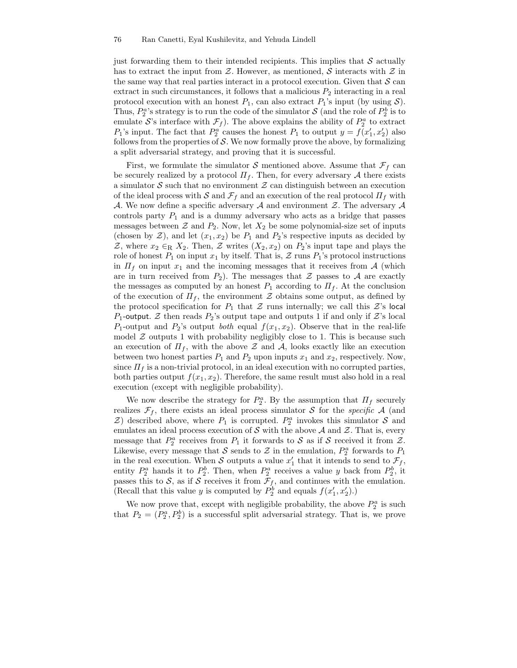just forwarding them to their intended recipients. This implies that  $S$  actually has to extract the input from  $\mathcal Z$ . However, as mentioned,  $\mathcal S$  interacts with  $\mathcal Z$  in the same way that real parties interact in a protocol execution. Given that  $S$  can extract in such circumstances, it follows that a malicious  $P_2$  interacting in a real protocol execution with an honest  $P_1$ , can also extract  $P_1$ 's input (by using  $S$ ). Thus,  $P_2^a$ 's strategy is to run the code of the simulator S (and the role of  $P_2^b$  is to emulate S's interface with  $\mathcal{F}_f$ ). The above explains the ability of  $P_2^a$  to extract  $P_1$ 's input. The fact that  $P_2^a$  causes the honest  $P_1$  to output  $y = f(x_1, x_2)$  also follows from the properties of  $S$ . We now formally prove the above, by formalizing a split adversarial strategy, and proving that it is successful.

First, we formulate the simulator S mentioned above. Assume that  $\mathcal{F}_f$  can be securely realized by a protocol  $\Pi_f$ . Then, for every adversary A there exists a simulator  $S$  such that no environment  $\mathcal Z$  can distinguish between an execution of the ideal process with S and  $\mathcal{F}_f$  and an execution of the real protocol  $\Pi_f$  with A. We now define a specific adversary  $A$  and environment  $Z$ . The adversary  $A$ controls party  $P_1$  and is a dummy adversary who acts as a bridge that passes messages between  $\mathcal Z$  and  $P_2$ . Now, let  $X_2$  be some polynomial-size set of inputs (chosen by  $\mathcal{Z}$ ), and let  $(x_1, x_2)$  be  $P_1$  and  $P_2$ 's respective inputs as decided by Z, where  $x_2 \in_R X_2$ . Then, Z writes  $(X_2, x_2)$  on  $P_2$ 's input tape and plays the role of honest  $P_1$  on input  $x_1$  by itself. That is,  $\mathcal Z$  runs  $P_1$ 's protocol instructions in  $\Pi_f$  on input  $x_1$  and the incoming messages that it receives from A (which are in turn received from  $P_2$ ). The messages that  $\mathcal Z$  passes to  $\mathcal A$  are exactly the messages as computed by an honest  $P_1$  according to  $\Pi_f$ . At the conclusion of the execution of  $\Pi_f$ , the environment  $\mathcal Z$  obtains some output, as defined by the protocol specification for  $P_1$  that  $\mathcal Z$  runs internally; we call this  $\mathcal Z$ 's local  $P_1$ -output.  $\mathcal Z$  then reads  $P_2$ 's output tape and outputs 1 if and only if  $\mathcal Z$ 's local  $P_1$ -output and  $P_2$ 's output both equal  $f(x_1, x_2)$ . Observe that in the real-life model  $\mathcal Z$  outputs 1 with probability negligibly close to 1. This is because such an execution of  $\Pi_f$ , with the above  $\mathcal Z$  and  $\mathcal A$ , looks exactly like an execution between two honest parties  $P_1$  and  $P_2$  upon inputs  $x_1$  and  $x_2$ , respectively. Now, since  $\Pi_f$  is a non-trivial protocol, in an ideal execution with no corrupted parties, both parties output  $f(x_1, x_2)$ . Therefore, the same result must also hold in a real execution (except with negligible probability).

We now describe the strategy for  $P_2^a$ . By the assumption that  $\Pi_f$  securely realizes  $\mathcal{F}_f$ , there exists an ideal process simulator S for the *specific* A (and  $Z$ ) described above, where  $P_1$  is corrupted.  $P_2^a$  invokes this simulator S and emulates an ideal process execution of  $S$  with the above  $A$  and  $Z$ . That is, every message that  $P_2^a$  receives from  $P_1$  it forwards to S as if S received it from Z. Likewise, every message that S sends to Z in the emulation,  $P_2^a$  forwards to  $P_1$ in the real execution. When S outputs a value  $x'_1$  that it intends to send to  $\mathcal{F}_f$ , entity  $P_2^a$  hands it to  $P_2^b$ . Then, when  $P_2^a$  receives a value y back from  $P_2^b$ , it passes this to S, as if S receives it from  $\mathcal{F}_f$ , and continues with the emulation. (Recall that this value y is computed by  $P_2^b$  and equals  $f(x'_1, x'_2)$ .)

We now prove that, except with negligible probability, the above  $P_2^a$  is such that  $P_2 = (P_2^a, P_2^b)$  is a successful split adversarial strategy. That is, we prove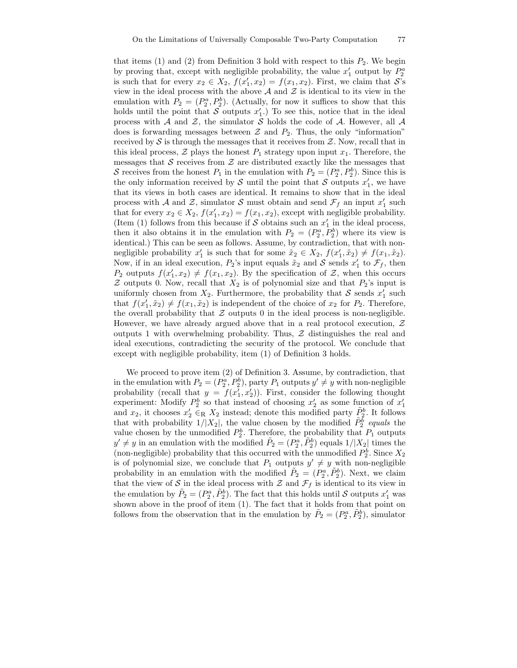that items (1) and (2) from Definition 3 hold with respect to this  $P_2$ . We begin by proving that, except with negligible probability, the value  $x'_1$  output by  $P_2^a$ is such that for every  $x_2 \in X_2$ ,  $f(x'_1, x_2) = f(x_1, x_2)$ . First, we claim that  $S$ 's view in the ideal process with the above  $A$  and  $Z$  is identical to its view in the emulation with  $P_2 = (P_2^a, P_2^b)$ . (Actually, for now it suffices to show that this holds until the point that S outputs  $x_1'$ . To see this, notice that in the ideal process with A and Z, the simulator S holds the code of A. However, all A does is forwarding messages between  $\mathcal Z$  and  $P_2$ . Thus, the only "information" received by  $S$  is through the messages that it receives from  $Z$ . Now, recall that in this ideal process,  $\mathcal Z$  plays the honest  $P_1$  strategy upon input  $x_1$ . Therefore, the messages that  $S$  receives from  $Z$  are distributed exactly like the messages that S receives from the honest  $P_1$  in the emulation with  $P_2 = (P_2^a, P_2^b)$ . Since this is the only information received by S until the point that S outputs  $x'_1$ , we have that its views in both cases are identical. It remains to show that in the ideal process with A and Z, simulator S must obtain and send  $\mathcal{F}_f$  an input  $x'_1$  such that for every  $x_2 \in X_2$ ,  $f(x'_1, x_2) = f(x_1, x_2)$ , except with negligible probability. (Item (1) follows from this because if S obtains such an  $x'_1$  in the ideal process, then it also obtains it in the emulation with  $P_2 = (P_2^a, P_2^b)$  where its view is identical.) This can be seen as follows. Assume, by contradiction, that with nonnegligible probability  $x'_1$  is such that for some  $\tilde{x}_2 \in X_2$ ,  $f(x'_1, \tilde{x}_2) \neq f(x_1, \tilde{x}_2)$ . Now, if in an ideal execution,  $P_2$ 's input equals  $\tilde{x}_2$  and S sends  $x'_1$  to  $\mathcal{F}_f$ , then  $P_2$  outputs  $f(x_1', x_2) \neq f(x_1, x_2)$ . By the specification of  $\mathcal{Z}$ , when this occurs  $Z$  outputs 0. Now, recall that  $X_2$  is of polynomial size and that  $P_2$ 's input is uniformly chosen from  $X_2$ . Furthermore, the probability that S sends  $x'_1$  such that  $f(x_1', \tilde{x}_2) \neq f(x_1, \tilde{x}_2)$  is independent of the choice of  $x_2$  for  $P_2$ . Therefore, the overall probability that  $\mathcal Z$  outputs 0 in the ideal process is non-negligible. However, we have already argued above that in a real protocol execution,  $\mathcal Z$ outputs 1 with overwhelming probability. Thus,  $\mathcal Z$  distinguishes the real and ideal executions, contradicting the security of the protocol. We conclude that except with negligible probability, item (1) of Definition 3 holds.

We proceed to prove item (2) of Definition 3. Assume, by contradiction, that in the emulation with  $P_2 = (P_2^a, P_2^b)$ , party  $P_1$  outputs  $y' \neq y$  with non-negligible probability (recall that  $y = f(x_1', x_2')$ ). First, consider the following thought experiment: Modify  $P_2^b$  so that instead of choosing  $x_2'$  as some function of  $x_1'$ and  $x_2$ , it chooses  $x_2 \in_R X_2$  instead; denote this modified party  $\tilde{P}_2^b$ . It follows that with probability  $1/|X_2|$ , the value chosen by the modified  $\tilde{P}_2^{\bar{b}}$  equals the value chosen by the unmodified  $P_2^b$ . Therefore, the probability that  $P_1$  outputs  $y' \neq y$  in an emulation with the modified  $\tilde{P}_2 = (P_2^a, \tilde{P}_2^b)$  equals  $1/|X_2|$  times the (non-negligible) probability that this occurred with the unmodified  $P_2^b$ . Since  $X_2$ is of polynomial size, we conclude that  $P_1$  outputs  $y' \neq y$  with non-negligible probability in an emulation with the modified  $\tilde{P}_2 = (P_2^a, \tilde{P}_2^b)$ . Next, we claim that the view of S in the ideal process with Z and  $\mathcal{F}_f$  is identical to its view in the emulation by  $\tilde{P}_2 = (P_2^a, \tilde{P}_2^b)$ . The fact that this holds until S outputs  $x'_1$  was shown above in the proof of item (1). The fact that it holds from that point on follows from the observation that in the emulation by  $\tilde{P}_2 = (P_2^a, \tilde{P}_2^b)$ , simulator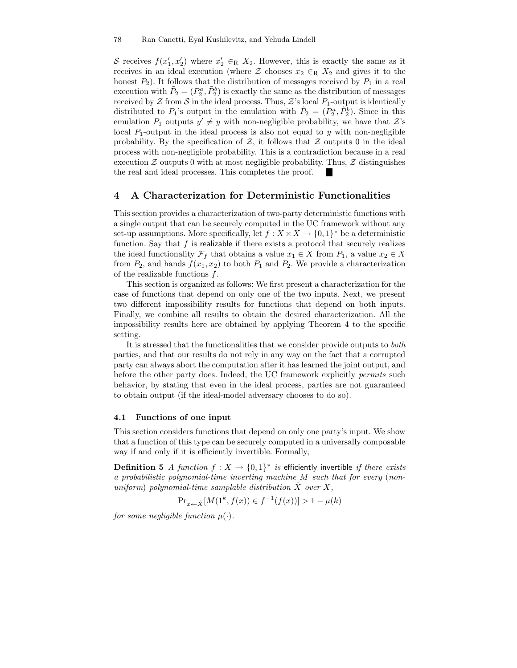S receives  $f(x'_1, x'_2)$  where  $x'_2 \in_R X_2$ . However, this is exactly the same as it receives in an ideal execution (where  $\mathcal Z$  chooses  $x_2 \in_R X_2$  and gives it to the honest  $P_2$ ). It follows that the distribution of messages received by  $P_1$  in a real execution with  $\tilde{P}_2 = (P_2^a, \tilde{P}_2^b)$  is exactly the same as the distribution of messages received by  $\mathcal Z$  from  $\mathcal S$  in the ideal process. Thus,  $\mathcal Z$ 's local  $P_1$ -output is identically distributed to  $P_1$ 's output in the emulation with  $\tilde{P}_2 = (P_2^a, \tilde{P}_2^b)$ . Since in this emulation  $P_1$  outputs  $y' \neq y$  with non-negligible probability, we have that  $\mathcal{Z}$ 's local  $P_1$ -output in the ideal process is also not equal to y with non-negligible probability. By the specification of  $\mathcal{Z}$ , it follows that  $\mathcal Z$  outputs 0 in the ideal process with non-negligible probability. This is a contradiction because in a real execution  $\mathcal Z$  outputs 0 with at most negligible probability. Thus,  $\mathcal Z$  distinguishes the real and ideal processes. This completes the proof.

## 4 A Characterization for Deterministic Functionalities

This section provides a characterization of two-party deterministic functions with a single output that can be securely computed in the UC framework without any set-up assumptions. More specifically, let  $f: X \times X \to \{0,1\}^*$  be a deterministic function. Say that  $f$  is realizable if there exists a protocol that securely realizes the ideal functionality  $\mathcal{F}_f$  that obtains a value  $x_1 \in X$  from  $P_1$ , a value  $x_2 \in X$ from  $P_2$ , and hands  $f(x_1, x_2)$  to both  $P_1$  and  $P_2$ . We provide a characterization of the realizable functions  $f$ .

This section is organized as follows: We first present a characterization for the case of functions that depend on only one of the two inputs. Next, we present two different impossibility results for functions that depend on both inputs. Finally, we combine all results to obtain the desired characterization. All the impossibility results here are obtained by applying Theorem 4 to the specific setting.

It is stressed that the functionalities that we consider provide outputs to both parties, and that our results do not rely in any way on the fact that a corrupted party can always abort the computation after it has learned the joint output, and before the other party does. Indeed, the UC framework explicitly *permits* such behavior, by stating that even in the ideal process, parties are not guaranteed to obtain output (if the ideal-model adversary chooses to do so).

#### 4.1 Functions of one input

This section considers functions that depend on only one party's input. We show that a function of this type can be securely computed in a universally composable way if and only if it is efficiently invertible. Formally,

**Definition 5** A function  $f: X \to \{0,1\}^*$  is efficiently invertible if there exists a probabilistic polynomial-time inverting machine M such that for every (nonuniform) polynomial-time samplable distribution  $\hat{X}$  over  $X$ ,

 $Pr_{x \leftarrow \hat{X}}[M(1^k, f(x)) \in f^{-1}(f(x))] > 1 - \mu(k)$ 

for some negligible function  $\mu(\cdot)$ .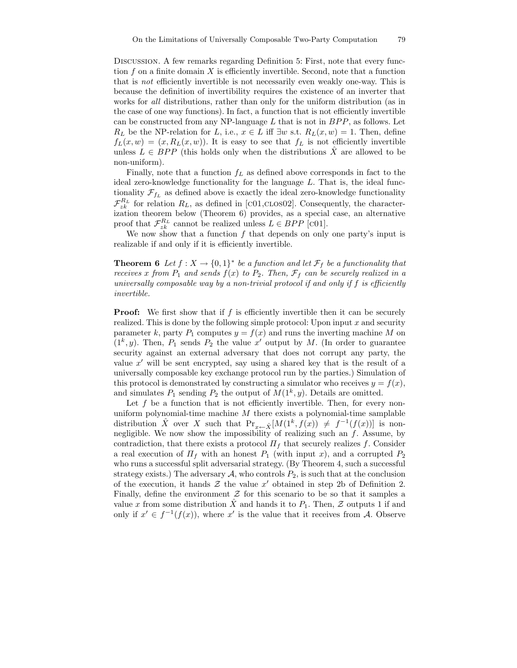Discussion. A few remarks regarding Definition 5: First, note that every function  $f$  on a finite domain  $X$  is efficiently invertible. Second, note that a function that is not efficiently invertible is not necessarily even weakly one-way. This is because the definition of invertibility requires the existence of an inverter that works for all distributions, rather than only for the uniform distribution (as in the case of one way functions). In fact, a function that is not efficiently invertible can be constructed from any NP-language  $L$  that is not in  $BPP$ , as follows. Let  $R_L$  be the NP-relation for L, i.e.,  $x \in L$  iff  $\exists w$  s.t.  $R_L(x, w) = 1$ . Then, define  $f_L(x, w) = (x, R_L(x, w))$ . It is easy to see that  $f_L$  is not efficiently invertible unless  $L \in BPP$  (this holds only when the distributions  $\hat{X}$  are allowed to be non-uniform).

Finally, note that a function  $f<sub>L</sub>$  as defined above corresponds in fact to the ideal zero-knowledge functionality for the language L. That is, the ideal functionality  $\mathcal{F}_{f_L}$  as defined above is exactly the ideal zero-knowledge functionality  $\mathcal{F}_{z k}^{R_L}$  for relation  $R_L$ , as defined in [C01,CLOS02]. Consequently, the characterization theorem below (Theorem 6) provides, as a special case, an alternative proof that  $\mathcal{F}_{zk}^{R_L}$  cannot be realized unless  $L \in BPP$  [C01].

We now show that a function  $f$  that depends on only one party's input is realizable if and only if it is efficiently invertible.

**Theorem 6** Let  $f: X \to \{0,1\}^*$  be a function and let  $\mathcal{F}_f$  be a functionality that receives x from  $P_1$  and sends  $f(x)$  to  $P_2$ . Then,  $\mathcal{F}_f$  can be securely realized in a universally composable way by a non-trivial protocol if and only if  $f$  is efficiently invertible.

**Proof:** We first show that if  $f$  is efficiently invertible then it can be securely realized. This is done by the following simple protocol: Upon input  $x$  and security parameter k, party  $P_1$  computes  $y = f(x)$  and runs the inverting machine M on  $(1^k, y)$ . Then,  $P_1$  sends  $P_2$  the value x' output by M. (In order to guarantee security against an external adversary that does not corrupt any party, the value  $x'$  will be sent encrypted, say using a shared key that is the result of a universally composable key exchange protocol run by the parties.) Simulation of this protocol is demonstrated by constructing a simulator who receives  $y = f(x)$ , and simulates  $P_1$  sending  $P_2$  the output of  $M(1^k, y)$ . Details are omitted.

Let  $f$  be a function that is not efficiently invertible. Then, for every nonuniform polynomial-time machine  $M$  there exists a polynomial-time samplable distribution  $\hat{X}$  over X such that  $Pr_{x \leftarrow \hat{X}}[M(1^k, f(x)) \neq f^{-1}(f(x))]$  is nonnegligible. We now show the impossibility of realizing such an  $f$ . Assume, by contradiction, that there exists a protocol  $\Pi_f$  that securely realizes f. Consider a real execution of  $\Pi_f$  with an honest  $P_1$  (with input x), and a corrupted  $P_2$ who runs a successful split adversarial strategy. (By Theorem 4, such a successful strategy exists.) The adversary  $A$ , who controls  $P_2$ , is such that at the conclusion of the execution, it hands  $\mathcal Z$  the value  $x'$  obtained in step 2b of Definition 2. Finally, define the environment  $\mathcal Z$  for this scenario to be so that it samples a value x from some distribution  $\hat{X}$  and hands it to  $P_1$ . Then,  $\hat{Z}$  outputs 1 if and only if  $x' \in f^{-1}(f(x))$ , where x' is the value that it receives from A. Observe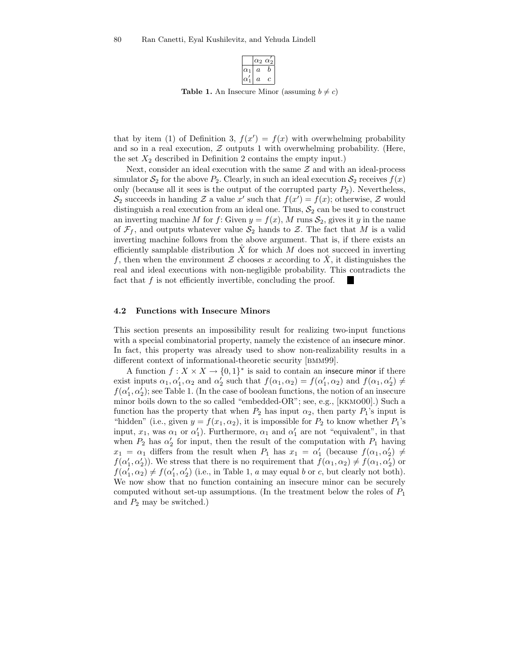|            | $\alpha_2$     |  |
|------------|----------------|--|
| $\alpha_1$ | $\overline{a}$ |  |
|            | α              |  |

**Table 1.** An Insecure Minor (assuming  $b \neq c$ )

that by item (1) of Definition 3,  $f(x') = f(x)$  with overwhelming probability and so in a real execution,  $Z$  outputs 1 with overwhelming probability. (Here, the set  $X_2$  described in Definition 2 contains the empty input.)

Next, consider an ideal execution with the same  $\mathcal Z$  and with an ideal-process simulator  $S_2$  for the above  $P_2$ . Clearly, in such an ideal execution  $S_2$  receives  $f(x)$ only (because all it sees is the output of the corrupted party  $P_2$ ). Nevertheless,  $S_2$  succeeds in handing Z a value x' such that  $f(x') = f(x)$ ; otherwise, Z would distinguish a real execution from an ideal one. Thus,  $S_2$  can be used to construct an inverting machine M for f: Given  $y = f(x)$ , M runs  $S_2$ , gives it y in the name of  $\mathcal{F}_f$ , and outputs whatever value  $\mathcal{S}_2$  hands to  $\mathcal{Z}$ . The fact that M is a valid inverting machine follows from the above argument. That is, if there exists an efficiently samplable distribution  $\hat{X}$  for which M does not succeed in inverting f, then when the environment  $\mathcal Z$  chooses x according to  $\hat X$ , it distinguishes the real and ideal executions with non-negligible probability. This contradicts the fact that f is not efficiently invertible, concluding the proof.

#### 4.2 Functions with Insecure Minors

This section presents an impossibility result for realizing two-input functions with a special combinatorial property, namely the existence of an insecure minor. In fact, this property was already used to show non-realizability results in a different context of informational-theoretic security [bmm99].

A function  $f: X \times X \to \{0,1\}^*$  is said to contain an insecure minor if there exist inputs  $\alpha_1, \alpha'_1, \alpha_2$  and  $\alpha'_2$  such that  $f(\alpha_1, \alpha_2) = f(\alpha'_1, \alpha_2)$  and  $f(\alpha_1, \alpha'_2) \neq$  $f(\alpha_1', \alpha_2')$ ; see Table 1. (In the case of boolean functions, the notion of an insecure minor boils down to the so called "embedded-OR"; see, e.g., [kkmo00].) Such a function has the property that when  $P_2$  has input  $\alpha_2$ , then party  $P_1$ 's input is "hidden" (i.e., given  $y = f(x_1, \alpha_2)$ , it is impossible for  $P_2$  to know whether  $P_1$ 's input,  $x_1$ , was  $\alpha_1$  or  $\alpha'_1$ ). Furthermore,  $\alpha_1$  and  $\alpha'_1$  are not "equivalent", in that when  $P_2$  has  $\alpha'_2$  for input, then the result of the computation with  $P_1$  having  $x_1 = \alpha_1$  differs from the result when  $P_1$  has  $x_1 = \alpha'_1$  (because  $f(\alpha_1, \alpha'_2) \neq$  $f(\alpha'_1, \alpha'_2)$ ). We stress that there is no requirement that  $f(\alpha_1, \alpha_2) \neq f(\alpha_1, \alpha'_2)$  or  $f(\alpha'_1,\alpha_2) \neq f(\alpha'_1,\alpha'_2)$  (i.e., in Table 1, a may equal b or c, but clearly not both). We now show that no function containing an insecure minor can be securely computed without set-up assumptions. (In the treatment below the roles of  $P_1$ and  $P_2$  may be switched.)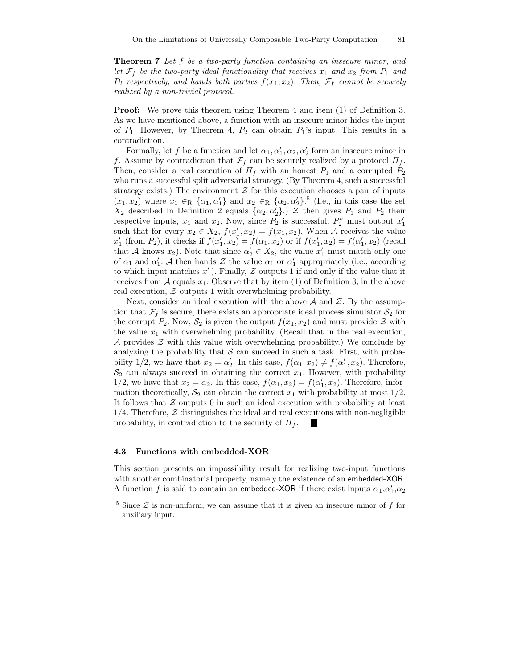Theorem 7 Let f be a two-party function containing an insecure minor, and let  $\mathcal{F}_f$  be the two-party ideal functionality that receives  $x_1$  and  $x_2$  from  $P_1$  and  $P_2$  respectively, and hands both parties  $f(x_1, x_2)$ . Then,  $\mathcal{F}_f$  cannot be securely realized by a non-trivial protocol.

**Proof:** We prove this theorem using Theorem 4 and item (1) of Definition 3. As we have mentioned above, a function with an insecure minor hides the input of  $P_1$ . However, by Theorem 4,  $P_2$  can obtain  $P_1$ 's input. This results in a contradiction.

Formally, let f be a function and let  $\alpha_1, \alpha'_1, \alpha_2, \alpha'_2$  form an insecure minor in f. Assume by contradiction that  $\mathcal{F}_f$  can be securely realized by a protocol  $\Pi_f$ . Then, consider a real execution of  $\Pi_f$  with an honest  $P_1$  and a corrupted  $P_2$ who runs a successful split adversarial strategy. (By Theorem 4, such a successful strategy exists.) The environment  $\mathcal Z$  for this execution chooses a pair of inputs  $(x_1, x_2)$  where  $x_1 \in_R \{\alpha_1, \alpha'_1\}$  and  $x_2 \in_R \{\alpha_2, \alpha'_2\}$ .<sup>5</sup> (I.e., in this case the set  $X_2$  described in Definition 2 equals  $\{\alpha_2,\alpha_2\}$ .)  $\mathcal{Z}$  then gives  $P_1$  and  $P_2$  their respective inputs,  $x_1$  and  $x_2$ . Now, since  $P_2$  is successful,  $P_2^a$  must output  $x_1'$ such that for every  $x_2 \in X_2$ ,  $f(x_1, x_2) = f(x_1, x_2)$ . When A receives the value  $x'_1$  (from  $P_2$ ), it checks if  $f(x'_1, x_2) = f(\alpha_1, x_2)$  or if  $f(x'_1, x_2) = f(\alpha'_1, x_2)$  (recall that A knows  $x_2$ ). Note that since  $\alpha'_2 \in X_2$ , the value  $x'_1$  must match only one of  $\alpha_1$  and  $\alpha'_1$ . A then hands  $\mathcal Z$  the value  $\alpha_1$  or  $\alpha'_1$  appropriately (i.e., according to which input matches  $x_1'$ ). Finally,  $\mathcal Z$  outputs 1 if and only if the value that it receives from A equals  $x_1$ . Observe that by item (1) of Definition 3, in the above real execution,  $Z$  outputs 1 with overwhelming probability.

Next, consider an ideal execution with the above  $A$  and  $Z$ . By the assumption that  $\mathcal{F}_f$  is secure, there exists an appropriate ideal process simulator  $\mathcal{S}_2$  for the corrupt  $P_2$ . Now,  $S_2$  is given the output  $f(x_1, x_2)$  and must provide  $\mathcal Z$  with the value  $x_1$  with overwhelming probability. (Recall that in the real execution, A provides  $\mathcal Z$  with this value with overwhelming probability.) We conclude by analyzing the probability that  $S$  can succeed in such a task. First, with probability 1/2, we have that  $x_2 = \alpha'_2$ . In this case,  $f(\alpha_1, x_2) \neq f(\alpha'_1, x_2)$ . Therefore,  $\mathcal{S}_2$  can always succeed in obtaining the correct  $x_1$ . However, with probability 1/2, we have that  $x_2 = \alpha_2$ . In this case,  $f(\alpha_1, x_2) = f(\alpha'_1, x_2)$ . Therefore, information theoretically,  $S_2$  can obtain the correct  $x_1$  with probability at most  $1/2$ . It follows that  $Z$  outputs 0 in such an ideal execution with probability at least  $1/4$ . Therefore,  $Z$  distinguishes the ideal and real executions with non-negligible probability, in contradiction to the security of  $\Pi_f$ .

#### 4.3 Functions with embedded-XOR

This section presents an impossibility result for realizing two-input functions with another combinatorial property, namely the existence of an embedded-XOR. A function f is said to contain an embedded-XOR if there exist inputs  $\alpha_1, \alpha'_1, \alpha_2$ 

 $5$  Since  $\mathcal Z$  is non-uniform, we can assume that it is given an insecure minor of  $f$  for auxiliary input.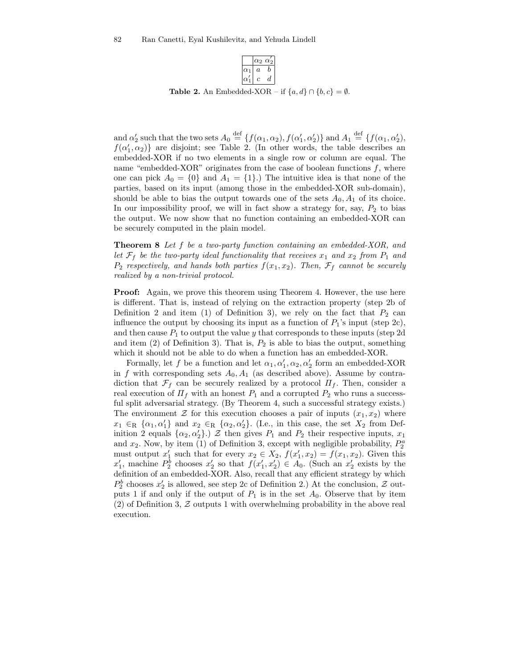|  | $\alpha_2 \alpha'_2$                                                      |                                                                             |
|--|---------------------------------------------------------------------------|-----------------------------------------------------------------------------|
|  | $\begin{array}{c cc}\n\alpha_1 & a & b \\ \alpha'_1 & c & d\n\end{array}$ |                                                                             |
|  |                                                                           |                                                                             |
|  |                                                                           | <b>Table 2.</b> An Embedded-XOR – if $\{a, d\} \cap \{b, c\} = \emptyset$ . |

and  $\alpha'_2$  such that the two sets  $A_0 \stackrel{\text{def}}{=} \{f(\alpha_1, \alpha_2), f(\alpha'_1, \alpha'_2)\}\$  and  $A_1 \stackrel{\text{def}}{=} \{f(\alpha_1, \alpha'_2),$  $f(\alpha'_1, \alpha_2)$  are disjoint; see Table 2. (In other words, the table describes an embedded-XOR if no two elements in a single row or column are equal. The name "embedded-XOR" originates from the case of boolean functions  $f$ , where one can pick  $A_0 = \{0\}$  and  $A_1 = \{1\}$ .) The intuitive idea is that none of the parties, based on its input (among those in the embedded-XOR sub-domain), should be able to bias the output towards one of the sets  $A_0$ ,  $A_1$  of its choice. In our impossibility proof, we will in fact show a strategy for, say,  $P_2$  to bias the output. We now show that no function containing an embedded-XOR can be securely computed in the plain model.

Theorem 8 Let f be a two-party function containing an embedded-XOR, and let  $\mathcal{F}_f$  be the two-party ideal functionality that receives  $x_1$  and  $x_2$  from  $P_1$  and  $P_2$  respectively, and hands both parties  $f(x_1, x_2)$ . Then,  $\mathcal{F}_f$  cannot be securely realized by a non-trivial protocol.

**Proof:** Again, we prove this theorem using Theorem 4. However, the use here is different. That is, instead of relying on the extraction property (step 2b of Definition 2 and item (1) of Definition 3), we rely on the fact that  $P_2$  can influence the output by choosing its input as a function of  $P_1$ 's input (step 2c), and then cause  $P_1$  to output the value y that corresponds to these inputs (step 2d and item  $(2)$  of Definition 3). That is,  $P_2$  is able to bias the output, something which it should not be able to do when a function has an embedded-XOR.

Formally, let f be a function and let  $\alpha_1, \alpha'_1, \alpha_2, \alpha'_2$  form an embedded-XOR in f with corresponding sets  $A_0$ ,  $A_1$  (as described above). Assume by contradiction that  $\mathcal{F}_f$  can be securely realized by a protocol  $\Pi_f$ . Then, consider a real execution of  $\Pi_f$  with an honest  $P_1$  and a corrupted  $P_2$  who runs a successful split adversarial strategy. (By Theorem 4, such a successful strategy exists.) The environment  $\mathcal Z$  for this execution chooses a pair of inputs  $(x_1, x_2)$  where  $x_1 \in_R \{\alpha_1, \alpha'_1\}$  and  $x_2 \in_R \{\alpha_2, \alpha'_2\}$ . (I.e., in this case, the set  $X_2$  from Definition 2 equals  $\{\alpha_2,\alpha_2'\}$ .)  $\mathcal Z$  then gives  $P_1$  and  $P_2$  their respective inputs,  $x_1$ and  $x_2$ . Now, by item (1) of Definition 3, except with negligible probability,  $P_2^a$ must output  $x'_1$  such that for every  $x_2 \in X_2$ ,  $f(x'_1, x_2) = f(x_1, x_2)$ . Given this  $x'_1$ , machine  $P_2^{\overline{b}}$  chooses  $x'_2$  so that  $f(x'_1, x'_2) \in A_0$ . (Such an  $x'_2$  exists by the definition of an embedded-XOR. Also, recall that any efficient strategy by which  $P_2^b$  chooses  $x_2'$  is allowed, see step 2c of Definition 2.) At the conclusion,  $\mathcal Z$  outputs 1 if and only if the output of  $P_1$  is in the set  $A_0$ . Observe that by item (2) of Definition 3,  $\mathcal Z$  outputs 1 with overwhelming probability in the above real execution.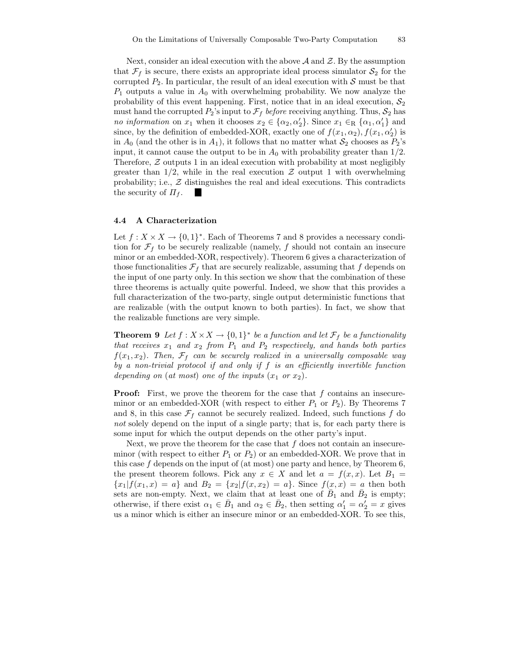Next, consider an ideal execution with the above  $\mathcal A$  and  $\mathcal Z$ . By the assumption that  $\mathcal{F}_f$  is secure, there exists an appropriate ideal process simulator  $\mathcal{S}_2$  for the corrupted  $P_2$ . In particular, the result of an ideal execution with  $S$  must be that  $P_1$  outputs a value in  $A_0$  with overwhelming probability. We now analyze the probability of this event happening. First, notice that in an ideal execution,  $S_2$ must hand the corrupted  $P_2$ 's input to  $\mathcal{F}_f$  before receiving anything. Thus,  $\mathcal{S}_2$  has no information on  $x_1$  when it chooses  $x_2 \in {\alpha_2, \alpha_2'}$ . Since  $x_1 \in_R {\alpha_1, \alpha_1'}$  and since, by the definition of embedded-XOR, exactly one of  $f(x_1, \alpha_2)$ ,  $f(x_1, \alpha_2)$  is in  $A_0$  (and the other is in  $A_1$ ), it follows that no matter what  $S_2$  chooses as  $P_2$ 's input, it cannot cause the output to be in  $A_0$  with probability greater than  $1/2$ . Therefore,  $Z$  outputs 1 in an ideal execution with probability at most negligibly greater than  $1/2$ , while in the real execution  $\mathcal Z$  output 1 with overwhelming probability; i.e.,  $Z$  distinguishes the real and ideal executions. This contradicts the security of  $\Pi_f$ . **COL** 

### 4.4 A Characterization

Let  $f: X \times X \to \{0,1\}^*$ . Each of Theorems 7 and 8 provides a necessary condition for  $\mathcal{F}_f$  to be securely realizable (namely, f should not contain an insecure minor or an embedded-XOR, respectively). Theorem 6 gives a characterization of those functionalities  $\mathcal{F}_f$  that are securely realizable, assuming that f depends on the input of one party only. In this section we show that the combination of these three theorems is actually quite powerful. Indeed, we show that this provides a full characterization of the two-party, single output deterministic functions that are realizable (with the output known to both parties). In fact, we show that the realizable functions are very simple.

**Theorem 9** Let  $f: X \times X \to \{0,1\}^*$  be a function and let  $\mathcal{F}_f$  be a functionality that receives  $x_1$  and  $x_2$  from  $P_1$  and  $P_2$  respectively, and hands both parties  $f(x_1, x_2)$ . Then,  $\mathcal{F}_f$  can be securely realized in a universally composable way by a non-trivial protocol if and only if f is an efficiently invertible function depending on (at most) one of the inputs  $(x_1 \text{ or } x_2)$ .

**Proof:** First, we prove the theorem for the case that  $f$  contains an insecureminor or an embedded-XOR (with respect to either  $P_1$  or  $P_2$ ). By Theorems 7 and 8, in this case  $\mathcal{F}_f$  cannot be securely realized. Indeed, such functions f do not solely depend on the input of a single party; that is, for each party there is some input for which the output depends on the other party's input.

Next, we prove the theorem for the case that  $f$  does not contain an insecureminor (with respect to either  $P_1$  or  $P_2$ ) or an embedded-XOR. We prove that in this case  $f$  depends on the input of (at most) one party and hence, by Theorem  $6$ , the present theorem follows. Pick any  $x \in X$  and let  $a = f(x, x)$ . Let  $B_1 =$  ${x_1|f(x_1,x) = a}$  and  $B_2 = {x_2|f(x,x_2) = a}$ . Since  $f(x,x) = a$  then both sets are non-empty. Next, we claim that at least one of  $B_1$  and  $B_2$  is empty; otherwise, if there exist  $\alpha_1 \in \overline{B}_1$  and  $\alpha_2 \in \overline{B}_2$ , then setting  $\alpha'_1 = \alpha'_2 = x$  gives us a minor which is either an insecure minor or an embedded-XOR. To see this,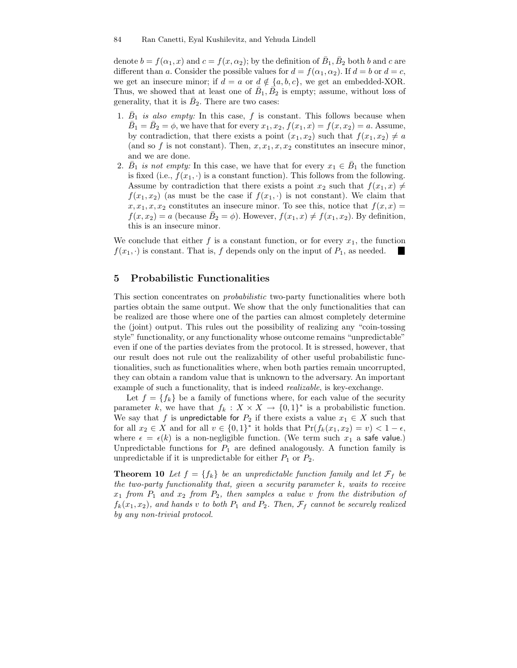denote  $b = f(\alpha_1, x)$  and  $c = f(x, \alpha_2)$ ; by the definition of  $\overline{B}_1$ ,  $\overline{B}_2$  both b and c are different than a. Consider the possible values for  $d = f(\alpha_1, \alpha_2)$ . If  $d = b$  or  $d = c$ , we get an insecure minor; if  $d = a$  or  $d \notin \{a, b, c\}$ , we get an embedded-XOR. Thus, we showed that at least one of  $\bar{B}_1$ ,  $\bar{B}_2$  is empty; assume, without loss of generality, that it is  $\bar{B}_2$ . There are two cases:

- 1.  $\bar{B}_1$  is also empty: In this case, f is constant. This follows because when  $\overline{B}_1 = \overline{B}_2 = \phi$ , we have that for every  $x_1, x_2, f(x_1, x) = f(x, x_2) = a$ . Assume, by contradiction, that there exists a point  $(x_1, x_2)$  such that  $f(x_1, x_2) \neq a$ (and so f is not constant). Then,  $x, x_1, x, x_2$  constitutes an insecure minor, and we are done.
- 2.  $\bar{B}_1$  is not empty: In this case, we have that for every  $x_1 \in \bar{B}_1$  the function is fixed (i.e.,  $f(x_1, \cdot)$  is a constant function). This follows from the following. Assume by contradiction that there exists a point  $x_2$  such that  $f(x_1, x) \neq$  $f(x_1, x_2)$  (as must be the case if  $f(x_1, \cdot)$  is not constant). We claim that  $x, x_1, x, x_2$  constitutes an insecure minor. To see this, notice that  $f(x, x) =$  $f(x, x_2) = a$  (because  $\overline{B}_2 = \phi$ ). However,  $f(x_1, x) \neq f(x_1, x_2)$ . By definition, this is an insecure minor.

We conclude that either f is a constant function, or for every  $x_1$ , the function  $f(x_1, \cdot)$  is constant. That is, f depends only on the input of  $P_1$ , as needed. 

## 5 Probabilistic Functionalities

This section concentrates on probabilistic two-party functionalities where both parties obtain the same output. We show that the only functionalities that can be realized are those where one of the parties can almost completely determine the (joint) output. This rules out the possibility of realizing any "coin-tossing style" functionality, or any functionality whose outcome remains "unpredictable" even if one of the parties deviates from the protocol. It is stressed, however, that our result does not rule out the realizability of other useful probabilistic functionalities, such as functionalities where, when both parties remain uncorrupted, they can obtain a random value that is unknown to the adversary. An important example of such a functionality, that is indeed realizable, is key-exchange.

Let  $f = \{f_k\}$  be a family of functions where, for each value of the security parameter k, we have that  $f_k: X \times X \to \{0,1\}^*$  is a probabilistic function. We say that f is unpredictable for  $P_2$  if there exists a value  $x_1 \in X$  such that for all  $x_2 \in X$  and for all  $v \in \{0,1\}^*$  it holds that  $Pr(f_k(x_1, x_2) = v) < 1 - \epsilon$ , where  $\epsilon = \epsilon(k)$  is a non-negligible function. (We term such  $x_1$  a safe value.) Unpredictable functions for  $P_1$  are defined analogously. A function family is unpredictable if it is unpredictable for either  $P_1$  or  $P_2$ .

**Theorem 10** Let  $f = \{f_k\}$  be an unpredictable function family and let  $\mathcal{F}_f$  be the two-party functionality that, given a security parameter k, waits to receive  $x_1$  from  $P_1$  and  $x_2$  from  $P_2$ , then samples a value v from the distribution of  $f_k(x_1, x_2)$ , and hands v to both  $P_1$  and  $P_2$ . Then,  $\mathcal{F}_f$  cannot be securely realized by any non-trivial protocol.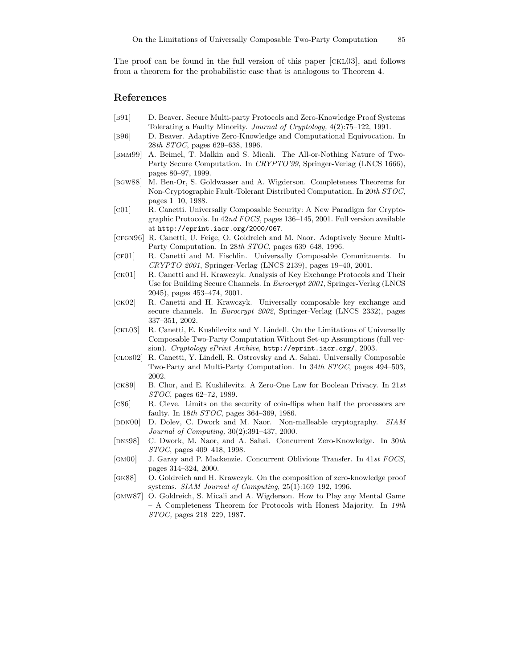The proof can be found in the full version of this paper [ckl03], and follows from a theorem for the probabilistic case that is analogous to Theorem 4.

## References

- [b91] D. Beaver. Secure Multi-party Protocols and Zero-Knowledge Proof Systems Tolerating a Faulty Minority. Journal of Cryptology, 4(2):75–122, 1991.
- [b96] D. Beaver. Adaptive Zero-Knowledge and Computational Equivocation. In 28th STOC, pages 629–638, 1996.
- [bmm99] A. Beimel, T. Malkin and S. Micali. The All-or-Nothing Nature of Two-Party Secure Computation. In *CRYPTO'99*, Springer-Verlag (LNCS 1666), pages 80–97, 1999.
- [bgw88] M. Ben-Or, S. Goldwasser and A. Wigderson. Completeness Theorems for Non-Cryptographic Fault-Tolerant Distributed Computation. In 20th STOC, pages 1–10, 1988.
- [c01] R. Canetti. Universally Composable Security: A New Paradigm for Cryptographic Protocols. In 42nd FOCS, pages 136–145, 2001. Full version available at http://eprint.iacr.org/2000/067.
- [cfgn96] R. Canetti, U. Feige, O. Goldreich and M. Naor. Adaptively Secure Multi-Party Computation. In 28th STOC, pages 639–648, 1996.
- [cf01] R. Canetti and M. Fischlin. Universally Composable Commitments. In CRYPTO 2001, Springer-Verlag (LNCS 2139), pages 19–40, 2001.
- [ck01] R. Canetti and H. Krawczyk. Analysis of Key Exchange Protocols and Their Use for Building Secure Channels. In Eurocrypt 2001, Springer-Verlag (LNCS 2045), pages 453–474, 2001.
- [ck02] R. Canetti and H. Krawczyk. Universally composable key exchange and secure channels. In *Eurocrypt 2002*, Springer-Verlag (LNCS 2332), pages 337–351, 2002.
- [ckl03] R. Canetti, E. Kushilevitz and Y. Lindell. On the Limitations of Universally Composable Two-Party Computation Without Set-up Assumptions (full version). Cryptology ePrint Archive, http://eprint.iacr.org/, 2003.
- [clos02] R. Canetti, Y. Lindell, R. Ostrovsky and A. Sahai. Universally Composable Two-Party and Multi-Party Computation. In 34th STOC, pages 494–503, 2002.
- [CK89] B. Chor, and E. Kushilevitz. A Zero-One Law for Boolean Privacy. In 21st STOC, pages 62–72, 1989.
- [c86] R. Cleve. Limits on the security of coin-flips when half the processors are faulty. In 18th STOC, pages 364–369, 1986.
- [DDN00] D. Dolev, C. Dwork and M. Naor. Non-malleable cryptography. SIAM Journal of Computing, 30(2):391–437, 2000.
- [DNS98] C. Dwork, M. Naor, and A. Sahai. Concurrent Zero-Knowledge. In 30th STOC, pages 409–418, 1998.
- [GM00] J. Garay and P. Mackenzie. Concurrent Oblivious Transfer. In 41st FOCS, pages 314–324, 2000.
- [gk88] O. Goldreich and H. Krawczyk. On the composition of zero-knowledge proof systems. SIAM Journal of Computing, 25(1):169–192, 1996.
- [gmw87] O. Goldreich, S. Micali and A. Wigderson. How to Play any Mental Game  $- A$  Completeness Theorem for Protocols with Honest Majority. In 19th STOC, pages 218–229, 1987.